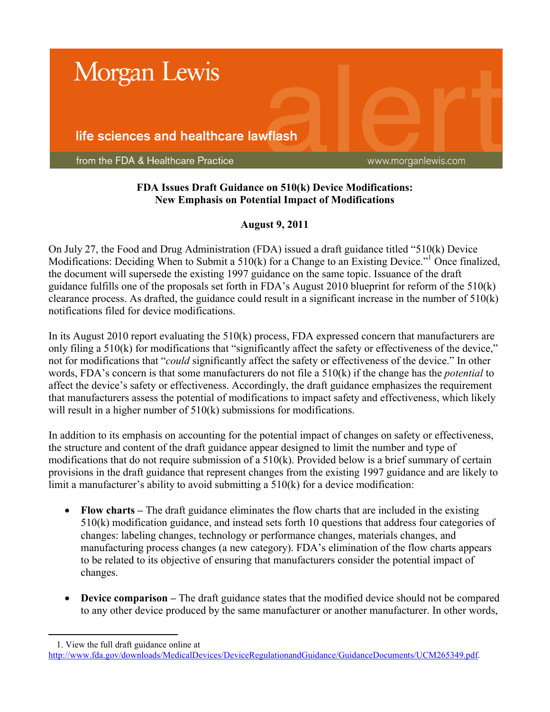

## **FDA Issues Draft Guidance on 510(k) Device Modifications: New Emphasis on Potential Impact of Modifications**

## **August 9, 2011**

On July 27, the Food and Drug Administration (FDA) issued a draft guidance titled "510(k) Device Modifications: Deciding When to Submit a 510(k) for a Change to an Existing Device."<sup>1</sup> Once finalized, the document will supersede the existing 1997 guidance on the same topic. Issuance of the draft guidance fulfills one of the proposals set forth in FDA's August 2010 blueprint for reform of the 510(k) clearance process. As drafted, the guidance could result in a significant increase in the number of 510(k) notifications filed for device modifications.

In its August 2010 report evaluating the 510(k) process, FDA expressed concern that manufacturers are only filing a 510(k) for modifications that "significantly affect the safety or effectiveness of the device," not for modifications that "*could* significantly affect the safety or effectiveness of the device." In other words, FDA's concern is that some manufacturers do not file a 510(k) if the change has the *potential* to affect the device's safety or effectiveness. Accordingly, the draft guidance emphasizes the requirement that manufacturers assess the potential of modifications to impact safety and effectiveness, which likely will result in a higher number of  $510(k)$  submissions for modifications.

In addition to its emphasis on accounting for the potential impact of changes on safety or effectiveness, the structure and content of the draft guidance appear designed to limit the number and type of modifications that do not require submission of a 510(k). Provided below is a brief summary of certain provisions in the draft guidance that represent changes from the existing 1997 guidance and are likely to limit a manufacturer's ability to avoid submitting a 510(k) for a device modification:

- **Flow charts –** The draft guidance eliminates the flow charts that are included in the existing 510(k) modification guidance, and instead sets forth 10 questions that address four categories of changes: labeling changes, technology or performance changes, materials changes, and manufacturing process changes (a new category). FDA's elimination of the flow charts appears to be related to its objective of ensuring that manufacturers consider the potential impact of changes.
- **Device comparison –** The draft guidance states that the modified device should not be compared to any other device produced by the same manufacturer or another manufacturer. In other words,

 $\overline{a}$ 1. View the full draft guidance online at

[http://www.fda.gov/downloads/MedicalDevices/DeviceRegulationandGuidance/GuidanceDocuments/UCM265349.pdf.](http://www.fda.gov/downloads/MedicalDevices/DeviceRegulationandGuidance/GuidanceDocuments/UCM265349.pdf)